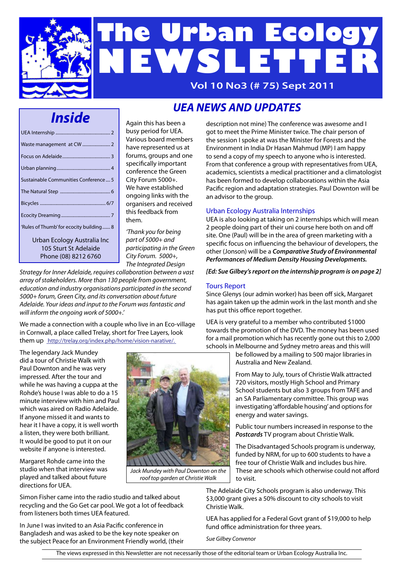

# **The Urban Ecology NEWSLETTER**

**Vol 10 No3 (# 75) Sept 2011**

## *Inside*

| Sustainable Communities Conference  5                |
|------------------------------------------------------|
|                                                      |
|                                                      |
|                                                      |
| 'Rules of Thumb' for ecocity building 8              |
| Urban Ecology Australia Inc<br>105 Sturt St Adelaide |
| Phone (08) 8212 6760                                 |

Again this has been a busy period for UEA. Various board members have represented us at forums, groups and one specifically important conference the Green City Forum 5000+. We have established ongoing links with the organisers and received this feedback from them.

*'Thank you for being part of 5000+ and participating in the Green City Forum. 5000+, The Integrated Design* 

*Strategy for Inner Adelaide, requires collaboration between a vast array of stakeholders. More than 130 people from government, education and industry organisations participated in the second 5000+ forum, Green City, and its conversation about future Adelaide. Your ideas and input to the Forum was fantastic and will inform the ongoing work of 5000+.'*

We made a connection with a couple who live in an Eco-village in Cornwall, a place called Trelay, short for Tree Layers, look them up http://trelay.org/index.php/home/vision-narative/.

*UEA NEWS AND UPDATES*

description not mine) The conference was awesome and I got to meet the Prime Minister twice. The chair person of the session I spoke at was the Minister for Forests and the Environment in India Dr Hasan Mahmud (MP) I am happy to send a copy of my speech to anyone who is interested. From that conference a group with representatives from UEA, academics, scientists a medical practitioner and a climatologist has been formed to develop collaborations within the Asia Pacific region and adaptation strategies. Paul Downton will be an advisor to the group.

#### Urban Ecology Australia Internships

UEA is also looking at taking on 2 internships which will mean 2 people doing part of their uni course here both on and off site. One (Paul) will be in the area of green marketing with a specific focus on influencing the behaviour of developers, the other (Jonson) will be a *Comparative Study of Environmental Performances of Medium Density Housing Developments.*

*[Ed: Sue Gilbey's report on the internship program is on page 2]*

#### Tours Report

Since Glenys (our admin worker) has been off sick, Margaret has again taken up the admin work in the last month and she has put this office report together.

UEA is very grateful to a member who contributed \$1000 towards the promotion of the DVD. The money has been used for a mail promotion which has recently gone out this to 2,000 schools in Melbourne and Sydney metro areas and this will

be followed by a mailing to 500 major libraries in Australia and New Zealand.

From May to July, tours of Christie Walk attracted 720 visitors, mostly High School and Primary School students but also 3 groups from TAFE and an SA Parliamentary committee. This group was investigating 'affordable housing' and options for energy and water savings.

Public tour numbers increased in response to the *Postcards* TV program about Christie Walk.

The Disadvantaged Schools program is underway, funded by NRM, for up to 600 students to have a free tour of Christie Walk and includes bus hire. These are schools which otherwise could not afford to visit.

The Adelaide City Schools program is also underway. This \$3,000 grant gives a 50% discount to city schools to visit Christie Walk.

UEA has applied for a Federal Govt grant of \$19,000 to help fund office administration for three years.

*Sue Gilbey Convenor*

did a tour of Christie Walk with Paul Downton and he was very impressed. After the tour and while he was having a cuppa at the Rohde's house I was able to do a 15 minute interview with him and Paul which was aired on Radio Adelaide. If anyone missed it and wants to hear it I have a copy, it is well worth a listen, they were both brilliant. It would be good to put it on our website if anyone is interested.

Margaret Rohde came into the studio when that interview was played and talked about future directions for UEA.

The legendary Jack Mundey

Simon Fisher came into the radio studio and talked about recycling and the Go Get car pool. We got a lot of feedback from listeners both times UEA featured.

In June I was invited to an Asia Pacific conference in Bangladesh and was asked to be the key note speaker on the subject Peace for an Environment Friendly world, (their



*Jack Mundey with Paul Downton on the roof top garden at Christie Walk*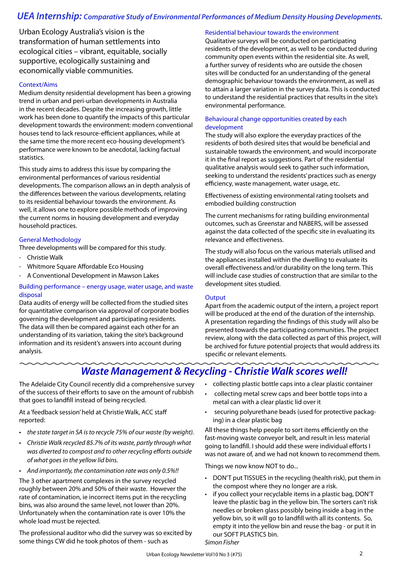#### *UEA Internship: Comparative Study of Environmental Performances of Medium Density Housing Developments.*

Urban Ecology Australia's vision is the transformation of human settlements into ecological cities – vibrant, equitable, socially supportive, ecologically sustaining and economically viable communities.

#### Context/Aims

Medium density residential development has been a growing trend in urban and peri-urban developments in Australia in the recent decades. Despite the increasing growth, little work has been done to quantify the impacts of this particular development towards the environment: modern conventional houses tend to lack resource-efficient appliances, while at the same time the more recent eco-housing development's performance were known to be anecdotal, lacking factual statistics.

This study aims to address this issue by comparing the environmental performances of various residential developments. The comparison allows an in depth analysis of the differences between the various developments, relating to its residential behaviour towards the environment. As well, it allows one to explore possible methods of improving the current norms in housing development and everyday household practices.

#### General Methodology

Three developments will be compared for this study.

- Christie Walk
- Whitmore Square Affordable Eco Housing
- A Conventional Development in Mawson Lakes

#### Building performance – energy usage, water usage, and waste disposal

Data audits of energy will be collected from the studied sites for quantitative comparison via approval of corporate bodies governing the development and participating residents. The data will then be compared against each other for an understanding of its variation, taking the site's background information and its resident's answers into account during analysis.

#### Residential behaviour towards the environment

Qualitative surveys will be conducted on participating residents of the development, as well to be conducted during community open events within the residential site. As well, a further survey of residents who are outside the chosen sites will be conducted for an understanding of the general demographic behaviour towards the environment, as well as to attain a larger variation in the survey data. This is conducted to understand the residential practices that results in the site's environmental performance.

#### Behavioural change opportunities created by each development

The study will also explore the everyday practices of the residents of both desired sites that would be beneficial and sustainable towards the environment, and would incorporate it in the final report as suggestions. Part of the residential qualitative analysis would seek to gather such information, seeking to understand the residents' practices such as energy efficiency, waste management, water usage, etc.

Effectiveness of existing environmental rating toolsets and embodied building construction

The current mechanisms for rating building environmental outcomes, such as Greenstar and NABERS, will be assessed against the data collected of the specific site in evaluating its relevance and effectiveness.

The study will also focus on the various materials utilised and the appliances installed within the dwelling to evaluate its overall effectiveness and/or durability on the long term. This will include case studies of construction that are similar to the development sites studied.

#### **Output**

Apart from the academic output of the intern, a project report will be produced at the end of the duration of the internship. A presentation regarding the findings of this study will also be presented towards the participating communities. The project review, along with the data collected as part of this project, will be archived for future potential projects that would address its specific or relevant elements.

## *Waste Management & Recycling - Christie Walk scores well!*

The Adelaide City Council recently did a comprehensive survey of the success of their efforts to save on the amount of rubbish that goes to landfill instead of being recycled.

At a 'feedback session' held at Christie Walk, ACC staff reported:

- *• the state target in SA is to recycle 75% of our waste (by weight).*
- *• Christie Walk recycled 85.7% of its waste, partly through what was diverted to compost and to other recycling efforts outside of what goes in the yellow lid bins.*
- *• And importantly, the contamination rate was only 0.5%!!*

The 3 other apartment complexes in the survey recycled roughly between 20% and 50% of their waste. However the rate of contamination, ie incorrect items put in the recycling bins, was also around the same level, not lower than 20%. Unfortunately when the contamination rate is over 10% the whole load must be rejected.

The professional auditor who did the survey was so excited by some things CW did he took photos of them - such as

- collecting plastic bottle caps into a clear plastic container
- collecting metal screw caps and beer bottle tops into a metal can with a clear plastic lid over it
- securing polyurethane beads (used for protective packaging) in a clear plastic bag

All these things help people to sort items efficiently on the fast-moving waste conveyor belt, and result in less material going to landfill. I should add these were individual efforts I was not aware of, and we had not known to recommend them.

Things we now know NOT to do...

- DON'T put TISSUES in the recycling (health risk), put them in the compost where they no longer are a risk.
- if you collect your recyclable items in a plastic bag, DON'T leave the plastic bag in the yellow bin. The sorters can't risk needles or broken glass possibly being inside a bag in the yellow bin, so it will go to landfill with all its contents. So, empty it into the yellow bin and reuse the bag - or put it in our SOFT PLASTICS bin.

Urban Ecology Newsletter Vol10 No 3 (#75) 2

*Simon Fisher*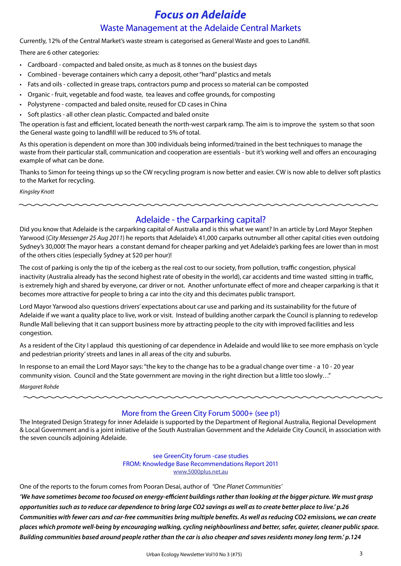## *Focus on Adelaide*

#### Waste Management at the Adelaide Central Markets

Currently, 12% of the Central Market's waste stream is categorised as General Waste and goes to Landfill.

There are 6 other categories:

- Cardboard compacted and baled onsite, as much as 8 tonnes on the busiest days
- Combined beverage containers which carry a deposit, other "hard" plastics and metals
- Fats and oils collected in grease traps, contractors pump and process so material can be composted
- Organic fruit, vegetable and food waste, tea leaves and coffee grounds, for composting
- Polystyrene compacted and baled onsite, reused for CD cases in China
- Soft plastics all other clean plastic. Compacted and baled onsite

The operation is fast and efficient, located beneath the north-west carpark ramp. The aim is to improve the system so that soon the General waste going to landfill will be reduced to 5% of total.

As this operation is dependent on more than 300 individuals being informed/trained in the best techniques to manage the waste from their particular stall, communication and cooperation are essentials - but it's working well and offers an encouraging example of what can be done.

Thanks to Simon for teeing things up so the CW recycling program is now better and easier. CW is now able to deliver soft plastics to the Market for recycling.

*Kingsley Knott*

#### Adelaide - the Carparking capital?

Did you know that Adelaide is the carparking capital of Australia and is this what we want? In an article by Lord Mayor Stephen Yarwood (*City Messenger 25 Aug 2011*) he reports that Adelaide's 41,000 carparks outnumber all other capital cities even outdoing Sydney's 30,000! The mayor hears a constant demand for cheaper parking and yet Adelaide's parking fees are lower than in most of the others cities (especially Sydney at \$20 per hour)!

The cost of parking is only the tip of the iceberg as the real cost to our society, from pollution, traffic congestion, physical inactivity (Australia already has the second highest rate of obesity in the world), car accidents and time wasted sitting in traffic, is extremely high and shared by everyone, car driver or not. Another unfortunate effect of more and cheaper carparking is that it becomes more attractive for people to bring a car into the city and this decimates public transport.

Lord Mayor Yarwood also questions drivers' expectations about car use and parking and its sustainability for the future of Adelaide if we want a quality place to live, work or visit. Instead of building another carpark the Council is planning to redevelop Rundle Mall believing that it can support business more by attracting people to the city with improved facilities and less congestion.

As a resident of the City I applaud this questioning of car dependence in Adelaide and would like to see more emphasis on 'cycle and pedestrian priority' streets and lanes in all areas of the city and suburbs.

In response to an email the Lord Mayor says: "the key to the change has to be a gradual change over time - a 10 - 20 year community vision. Council and the State government are moving in the right direction but a little too slowly…"

*Margaret Rohde*

#### More from the Green City Forum 5000+ (see p1)

The Integrated Design Strategy for inner Adelaide is supported by the Department of Regional Australia, Regional Development & Local Government and is a joint initiative of the South Australian Government and the Adelaide City Council, in association with the seven councils adjoining Adelaide.

> see GreenCity forum -case studies FROM: Knowledge Base Recommendations Report 2011 www.5000plus.net.au

One of the reports to the forum comes from Pooran Desai, author of *"One Planet Communities'*

*'We have sometimes become too focused on energy-efficient buildings rather than looking at the bigger picture. We must grasp opportunities such as to reduce car dependence to bring large CO2 savings as well as to create better place to live.' p.26 Communities with fewer cars and car-free communities bring multiple benefits. As well as reducing CO2 emissions, we can create places which promote well-being by encouraging walking, cycling neighbourliness and better, safer, quieter, cleaner public space. Building communities based around people rather than the car is also cheaper and saves residents money long term.' p.124*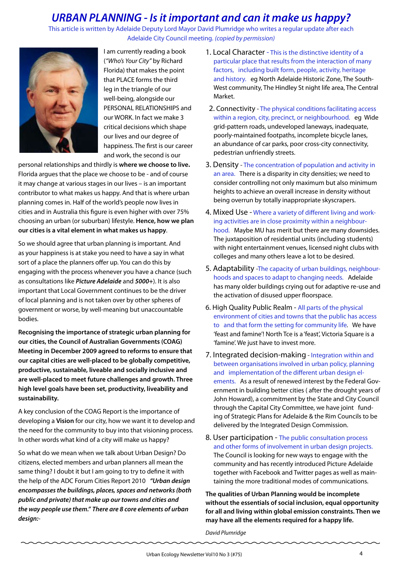## *URBAN PLANNING - Is it important and can it make us happy?*<br>This article is written by Adelaide Deputy Lord Mayor David Plumridge who writes a regular update after each

Adelaide City Council meeting. *(copied by permission)*



I am currently reading a book (*"Who's Your City"* by Richard Florida) that makes the point that PLACE forms the third leg in the triangle of our well-being, alongside our PERSONAL RELATIONSHIPS and our WORK. In fact we make 3 critical decisions which shape our lives and our degree of happiness. The first is our career and work, the second is our

personal relationships and thirdly is **where we choose to live.** Florida argues that the place we choose to be - and of course it may change at various stages in our lives – is an important contributor to what makes us happy. And that is where urban planning comes in. Half of the world's people now lives in cities and in Australia this figure is even higher with over 75% choosing an urban (or suburban) lifestyle. **Hence, how we plan our cities is a vital element in what makes us happy**.

So we should agree that urban planning is important. And as your happiness is at stake you need to have a say in what sort of a place the planners offer up. You can do this by engaging with the process whenever you have a chance (such as consultations like *Picture Adelaide* and *5000+*). It is also important that Local Government continues to be the driver of local planning and is not taken over by other spheres of government or worse, by well-meaning but unaccountable bodies.

**Recognising the importance of strategic urban planning for our cities, the Council of Australian Governments (COAG) Meeting in December 2009 agreed to reforms to ensure that our capital cities are well-placed to be globally competitive, productive, sustainable, liveable and socially inclusive and are well-placed to meet future challenges and growth. Three high level goals have been set, productivity, liveability and sustainability.** 

A key conclusion of the COAG Report is the importance of developing a **Vision** for our city, how we want it to develop and the need for the community to buy into that visioning process. In other words what kind of a city will make us happy?

So what do we mean when we talk about Urban Design? Do citizens, elected members and urban planners all mean the same thing? I doubt it but I am going to try to define it with the help of the ADC Forum Cities Report 2010 *"Urban design encompasses the buildings, places, spaces and networks (both public and private) that make up our towns and cities and the way people use them." There are 8 core elements of urban design:*-

- 1. Local Character This is the distinctive identity of a particular place that results from the interaction of many factors, including built form, people, activity, heritage and history. eg North Adelaide Historic Zone, The South-West community, The Hindley St night life area, The Central Market.
- 2. Connectivity The physical conditions facilitating access within a region, city, precinct, or neighbourhood. eg Wide grid-pattern roads, undeveloped laneways, inadequate, poorly-maintained footpaths, incomplete bicycle lanes, an abundance of car parks, poor cross-city connectivity, pedestrian unfriendly streets.
- 3. Density The concentration of population and activity in an area. There is a disparity in city densities; we need to consider controlling not only maximum but also minimum heights to achieve an overall increase in density without being overrun by totally inappropriate skyscrapers.
- 4. Mixed Use Where a variety of different living and working activities are in close proximity within a neighbourhood. Maybe MU has merit but there are many downsides. The juxtaposition of residential units (including students) with night entertainment venues, licensed night clubs with colleges and many others leave a lot to be desired.
- 5. Adaptability -The capacity of urban buildings, neighbourhoods and spaces to adapt to changing needs. Adelaide has many older buildings crying out for adaptive re-use and the activation of disused upper floorspace.
- 6. High Quality Public Realm All parts of the physical environment of cities and towns that the public has access to and that form the setting for community life. We have 'feast and famine'! North Tce is a 'feast', Victoria Square is a 'famine'. We just have to invest more.
- 7. Integrated decision-making Integration within and between organisations involved in urban policy, planning and implementation of the different urban design elements. As a result of renewed interest by the Federal Government in building better cities ( after the drought years of John Howard), a commitment by the State and City Council through the Capital City Committee, we have joint funding of Strategic Plans for Adelaide & the Rim Councils to be delivered by the Integrated Design Commission.
- 8. User participation The public consultation process and other forms of involvement in urban design projects. The Council is looking for new ways to engage with the community and has recently introduced Picture Adelaide together with Facebook and Twitter pages as well as maintaining the more traditional modes of communications.

**The qualities of Urban Planning would be incomplete without the essentials of social inclusion, equal opportunity for all and living within global emission constraints. Then we may have all the elements required for a happy life.**

*David Plumridge*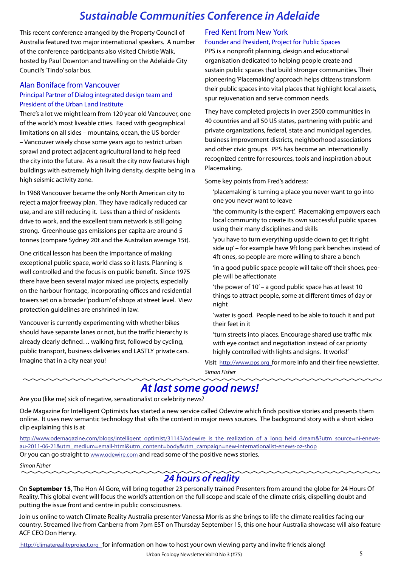## *Sustainable Communities Conference in Adelaide*

This recent conference arranged by the Property Council of Australia featured two major international speakers. A number of the conference participants also visited Christie Walk, hosted by Paul Downton and travelling on the Adelaide City Council's 'Tindo' solar bus.

#### Alan Boniface from Vancouver

#### Principal Partner of Dialog integrated design team and President of the Urban Land Institute

There's a lot we might learn from 120 year old Vancouver, one of the world's most liveable cities. Faced with geographical limitations on all sides – mountains, ocean, the US border – Vancouver wisely chose some years ago to restrict urban sprawl and protect adjacent agricultural land to help feed the city into the future. As a result the city now features high buildings with extremely high living density, despite being in a high seismic activity zone.

In 1968 Vancouver became the only North American city to reject a major freeway plan. They have radically reduced car use, and are still reducing it. Less than a third of residents drive to work, and the excellent tram network is still going strong. Greenhouse gas emissions per capita are around 5 tonnes (compare Sydney 20t and the Australian average 15t).

One critical lesson has been the importance of making exceptional public space, world class so it lasts. Planning is well controlled and the focus is on public benefit. Since 1975 there have been several major mixed use projects, especially on the harbour frontage, incorporating offices and residential towers set on a broader 'podium' of shops at street level. View protection guidelines are enshrined in law.

Vancouver is currently experimenting with whether bikes should have separate lanes or not, but the traffic hierarchy is already clearly defined… walking first, followed by cycling, public transport, business deliveries and LASTLY private cars. Imagine that in a city near you!

#### Fred Kent from New York

#### Founder and President, Project for Public Spaces

PPS is a nonprofit planning, design and educational organisation dedicated to helping people create and sustain public spaces that build stronger communities. Their pioneering 'Placemaking' approach helps citizens transform their public spaces into vital places that highlight local assets, spur rejuvenation and serve common needs.

They have completed projects in over 2500 communities in 40 countries and all 50 US states, partnering with public and private organizations, federal, state and municipal agencies, business improvement districts, neighborhood associations and other civic groups. PPS has become an internationally recognized centre for resources, tools and inspiration about Placemaking.

Some key points from Fred's address:

'placemaking' is turning a place you never want to go into one you never want to leave

'the community is the expert'. Placemaking empowers each local community to create its own successful public spaces using their many disciplines and skills

'you have to turn everything upside down to get it right side up' – for example have 9ft long park benches instead of 4ft ones, so people are more willing to share a bench

'in a good public space people will take off their shoes, people will be affectionate

'the power of  $10'$  – a good public space has at least  $10$ things to attract people, some at different times of day or night

'water is good. People need to be able to touch it and put their feet in it

'turn streets into places. Encourage shared use traffic mix with eye contact and negotiation instead of car priority highly controlled with lights and signs. It works!'

Visit http://www.pps.org for more info and their free newsletter. *Simon Fisher*

## *At last some good news!*

Are you (like me) sick of negative, sensationalist or celebrity news?

Ode Magazine for Intelligent Optimists has started a new service called Odewire which finds positive stories and presents them online. It uses new semantic technology that sifts the content in major news sources. The background story with a short video clip explaining this is at

http://www.odemagazine.com/blogs/intelligent\_optimist/31143/odewire\_is\_the\_realization\_of\_a\_long\_held\_dream&?utm\_source=ni-enewsau-2011-06-21&utm\_medium=email-html&utm\_content=body&utm\_campaign=new-internationalist-enews-oz-shop Or you can go straight to www.odewire.com and read some of the positive news stories.

#### *Simon Fisher*

#### *24 hours of reality*

On **September 15**, The Hon Al Gore, will bring together 23 personally trained Presenters from around the globe for 24 Hours Of Reality. This global event will focus the world's attention on the full scope and scale of the climate crisis, dispelling doubt and putting the issue front and centre in public consciousness.

Join us online to watch Climate Reality Australia presenter Vanessa Morris as she brings to life the climate realities facing our country. Streamed live from Canberra from 7pm EST on Thursday September 15, this one hour Australia showcase will also feature ACF CEO Don Henry.

http://climaterealityproject.org for information on how to host your own viewing party and invite friends along!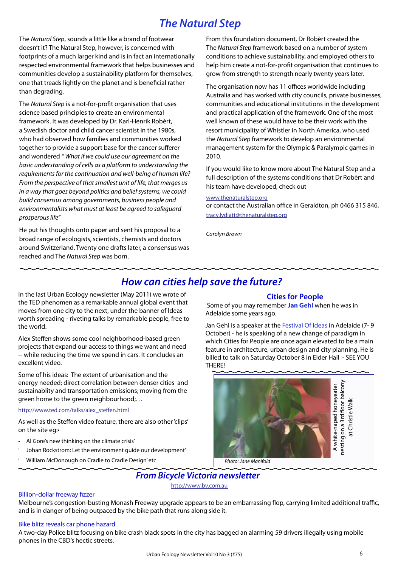## *The Natural Step*

The *Natural Step*, sounds a little like a brand of footwear doesn't it? The Natural Step, however, is concerned with footprints of a much larger kind and is in fact an internationally respected environmental framework that helps businesses and communities develop a sustainability platform for themselves, one that treads lightly on the planet and is beneficial rather than degrading.

The *Natural Step* is a not-for-profit organisation that uses science based principles to create an environmental framework. It was developed by Dr. Karl-Henrik Robèrt, a Swedish doctor and child cancer scientist in the 1980s, who had observed how families and communities worked together to provide a support base for the cancer sufferer and wondered *" What if we could use our agreement on the basic understanding of cells as a platform to understanding the requirements for the continuation and well-being of human life? From the perspective of that smallest unit of life, that merges us in a way that goes beyond politics and belief systems, we could build consensus among governments, business people and environmentalists what must at least be agreed to safeguard prosperous life"* 

He put his thoughts onto paper and sent his proposal to a broad range of ecologists, scientists, chemists and doctors around Switzerland. Twenty one drafts later, a consensus was reached and The *Natural Step* was born.

From this foundation document, Dr Robèrt created the The *Natural Step* framework based on a number of system conditions to achieve sustainability, and employed others to help him create a not-for-profit organisation that continues to grow from strength to strength nearly twenty years later.

The organisation now has 11 offices worldwide including Australia and has worked with city councils, private businesses, communities and educational institutions in the development and practical application of the framework. One of the most well known of these would have to be their work with the resort municipality of Whistler in North America, who used the *Natural Step* framework to develop an environmental management system for the Olympic & Paralympic games in 2010.

If you would like to know more about The Natural Step and a full description of the systems conditions that Dr Robèrt and his team have developed, check out

#### www.thenaturalstep.org

or contact the Australian office in Geraldton, ph 0466 315 846, tracy.lydiatt@thenaturalstep.org

*Carolyn Brown*

### *How can cities help save the future?*

In the last Urban Ecology newsletter (May 2011) we wrote of the TED phenomen as a remarkable annual global event that moves from one city to the next, under the banner of Ideas worth spreading - riveting talks by remarkable people, free to the world.

Alex Steffen shows some cool neighborhood-based green projects that expand our access to things we want and need -- while reducing the time we spend in cars. It concludes an excellent video.

Some of his ideas: The extent of urbanisation and the energy needed; direct correlation between denser cities and sustainablity and transportation emissions; moving from the green home to the green neighbourhood;…

#### http://www.ted.com/talks/alex\_steffen.html

As well as the Steffen video feature, there are also other 'clips' on the site eg:•

- Al Gore's new thinking on the climate crisis'
- ' Johan Rockstrom: Let the environment guide our development'
- ' William McDonough on Cradle to Cradle Design' etc

#### **Cities for People**

 Some of you may remember **Jan Gehl** when he was in Adelaide some years ago.

Jan Gehl is a speaker at the Festival Of Ideas in Adelaide (7-9 October) - he is speaking of a new change of paradigm in which Cities for People are once again elevated to be a main feature in architecture, urban design and city planning. He is billed to talk on Saturday October 8 in Elder Hall - SEE YOU THERE!



## *From Bicycle Victoria newsletter*

http://www.bv.com.au

#### Billion-dollar freeway fizzer

Melbourne's congestion-busting Monash Freeway upgrade appears to be an embarrassing flop, carrying limited additional traffic, and is in danger of being outpaced by the bike path that runs along side it.

#### Bike blitz reveals car phone hazard

A two-day Police blitz focusing on bike crash black spots in the city has bagged an alarming 59 drivers illegally using mobile phones in the CBD's hectic streets.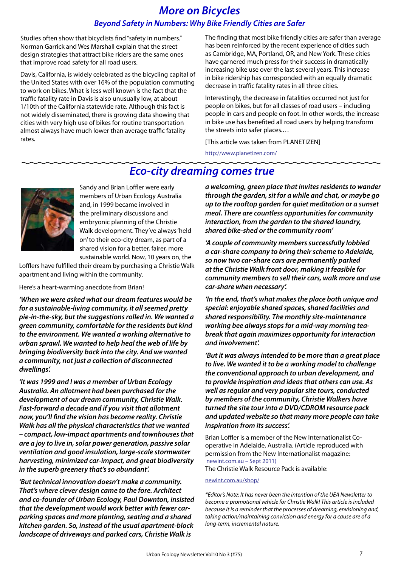## *More on Bicycles Beyond Safety in Numbers: Why Bike Friendly Cities are Safer*

Studies often show that bicyclists find "safety in numbers." Norman Garrick and Wes Marshall explain that the street design strategies that attract bike riders are the same ones that improve road safety for all road users.

Davis, California, is widely celebrated as the bicycling capital of the United States with over 16% of the population commuting to work on bikes. What is less well known is the fact that the traffic fatality rate in Davis is also unusually low, at about 1/10th of the California statewide rate. Although this fact is not widely disseminated, there is growing data showing that cities with very high use of bikes for routine transportation almost always have much lower than average traffic fatality rates.

The finding that most bike friendly cities are safer than average has been reinforced by the recent experience of cities such as Cambridge, MA, Portland, OR, and New York. These cities have garnered much press for their success in dramatically increasing bike use over the last several years. This increase in bike ridership has corresponded with an equally dramatic decrease in traffic fatality rates in all three cities.

Interestingly, the decrease in fatalities occurred not just for people on bikes, but for all classes of road users – including people in cars and people on foot. In other words, the increase in bike use has benefited all road users by helping transform the streets into safer places.…

[This article was taken from PLANETIZEN]

http://www.planetizen.com/

## *Eco-city dreaming comes true*



Sandy and Brian Loffler were early members of Urban Ecology Australia and, in 1999 became involved in the preliminary discussions and embryonic planning of the Christie Walk development. They've always 'held on' to their eco-city dream, as part of a shared vision for a better, fairer, more sustainable world. Now, 10 years on, the

Lofflers have fulfilled their dream by purchasing a Christie Walk apartment and living within the community.

Here's a heart-warming anecdote from Brian!

*'When we were asked what our dream features would be for a sustainable-living community, it all seemed pretty pie-in-the-sky, but the suggestions rolled in. We wanted a green community, comfortable for the residents but kind to the environment. We wanted a working alternative to urban sprawl. We wanted to help heal the web of life by bringing biodiversity back into the city. And we wanted a community, not just a collection of disconnected dwellings'.* 

*'It was 1999 and I was a member of Urban Ecology Australia. An allotment had been purchased for the development of our dream community, Christie Walk. Fast-forward a decade and if you visit that allotment now, you'll find the vision has become reality. Christie Walk has all the physical characteristics that we wanted – compact, low-impact apartments and townhouses that are a joy to live in, solar power generation, passive solar ventilation and good insulation, large-scale stormwater harvesting, minimized car-impact, and great biodiversity in the superb greenery that's so abundant'.*

*'But technical innovation doesn't make a community. That's where clever design came to the fore. Architect and co-founder of Urban Ecology, Paul Downton, insisted that the development would work better with fewer carparking spaces and more planting, seating and a shared kitchen garden. So, instead of the usual apartment-block landscape of driveways and parked cars, Christie Walk is* 

*a welcoming, green place that invites residents to wander through the garden, sit for a while and chat, or maybe go up to the rooftop garden for quiet meditation or a sunset meal. There are countless opportunities for community interaction, from the garden to the shared laundry, shared bike-shed or the community room'*

*'A couple of community members successfully lobbied a car-share company to bring their scheme to Adelaide, so now two car-share cars are permanently parked at the Christie Walk front door, making it feasible for community members to sell their cars, walk more and use car-share when necessary'.*

*'In the end, that's what makes the place both unique and special: enjoyable shared spaces, shared facilities and shared responsibility. The monthly site-maintenance working bee always stops for a mid-way morning teabreak that again maximizes opportunity for interaction and involvement'.*

*'But it was always intended to be more than a great place to live. We wanted it to be a working model to challenge the conventional approach to urban development, and to provide inspiration and ideas that others can use. As well as regular and very popular site tours, conducted by members of the community, Christie Walkers have turned the site tour into a DVD/CDROM resource pack and updated website so that many more people can take inspiration from its success'.*

Brian Loffler is a member of the New Internationalist Cooperative in Adelaide, Australia. (Article reproduced with permission from the New Internationalist magazine: newint.com.au – Sept 2011)

The Christie Walk Resource Pack is available:

#### newint.com.au/shop/

*\*Editor's Note: It has never been the intention of the UEA Newsletter to become a promotional vehicle for Christie Walk! This article is included because it is a reminder that the processes of dreaming, envisioning and, taking action/maintaining conviction and energy for a cause are of a long-term, incremental nature.*